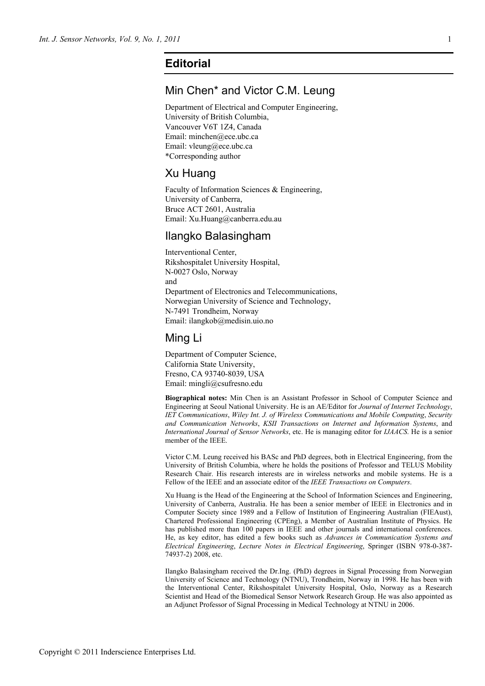# **Editorial**

# Min Chen\* and Victor C.M. Leung

Department of Electrical and Computer Engineering, University of British Columbia, Vancouver V6T 1Z4, Canada Email: minchen@ece.ubc.ca Email: vleung@ece.ubc.ca \*Corresponding author

# Xu Huang

Faculty of Information Sciences & Engineering, University of Canberra, Bruce ACT 2601, Australia Email: Xu.Huang@canberra.edu.au

## Ilangko Balasingham

Interventional Center, Rikshospitalet University Hospital, N-0027 Oslo, Norway and Department of Electronics and Telecommunications, Norwegian University of Science and Technology, N-7491 Trondheim, Norway Email: ilangkob@medisin.uio.no

#### Ming Li

Department of Computer Science, California State University, Fresno, CA 93740-8039, USA Email: mingli@csufresno.edu

**Biographical notes:** Min Chen is an Assistant Professor in School of Computer Science and Engineering at Seoul National University. He is an AE/Editor for *Journal of Internet Technology*, *IET Communications*, *Wiley Int. J. of Wireless Communications and Mobile Computing*, *Security and Communication Networks*, *KSII Transactions on Internet and Information Systems*, and *International Journal of Sensor Networks*, etc. He is managing editor for *IJAACS*. He is a senior member of the IEEE.

Victor C.M. Leung received his BASc and PhD degrees, both in Electrical Engineering, from the University of British Columbia, where he holds the positions of Professor and TELUS Mobility Research Chair. His research interests are in wireless networks and mobile systems. He is a Fellow of the IEEE and an associate editor of the *IEEE Transactions on Computers*.

Xu Huang is the Head of the Engineering at the School of Information Sciences and Engineering, University of Canberra, Australia. He has been a senior member of IEEE in Electronics and in Computer Society since 1989 and a Fellow of Institution of Engineering Australian (FIEAust), Chartered Professional Engineering (CPEng), a Member of Australian Institute of Physics. He has published more than 100 papers in IEEE and other journals and international conferences. He, as key editor, has edited a few books such as *Advances in Communication Systems and Electrical Engineering*, *Lecture Notes in Electrical Engineering*, Springer (ISBN 978-0-387- 74937-2) 2008, etc.

Ilangko Balasingham received the Dr.Ing. (PhD) degrees in Signal Processing from Norwegian University of Science and Technology (NTNU), Trondheim, Norway in 1998. He has been with the Interventional Center, Rikshospitalet University Hospital, Oslo, Norway as a Research Scientist and Head of the Biomedical Sensor Network Research Group. He was also appointed as an Adjunct Professor of Signal Processing in Medical Technology at NTNU in 2006.